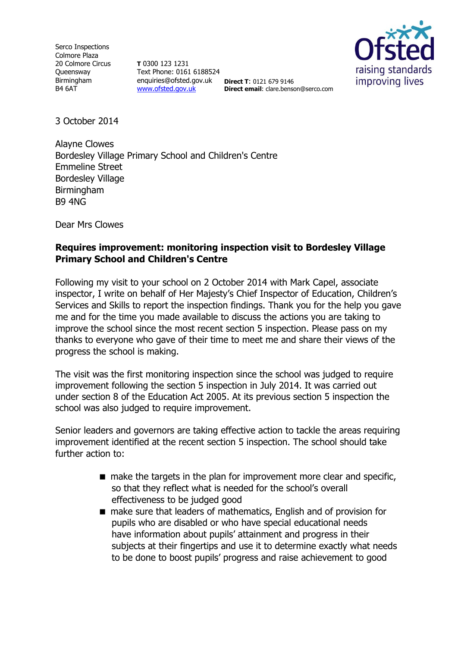Serco Inspections Colmore Plaza 20 Colmore Circus **Queensway** Birmingham B4 6AT

**T** 0300 123 1231 Text Phone: 0161 6188524 enquiries@ofsted.gov.uk **Direct T**: 0121 679 9146 [www.ofsted.gov.uk](http://www.ofsted.gov.uk/)



**Direct email**: clare.benson@serco.com

3 October 2014

Alayne Clowes Bordesley Village Primary School and Children's Centre Emmeline Street Bordesley Village Birmingham B9 4NG

Dear Mrs Clowes

# **Requires improvement: monitoring inspection visit to Bordesley Village Primary School and Children's Centre**

Following my visit to your school on 2 October 2014 with Mark Capel, associate inspector, I write on behalf of Her Majesty's Chief Inspector of Education, Children's Services and Skills to report the inspection findings. Thank you for the help you gave me and for the time you made available to discuss the actions you are taking to improve the school since the most recent section 5 inspection. Please pass on my thanks to everyone who gave of their time to meet me and share their views of the progress the school is making.

The visit was the first monitoring inspection since the school was judged to require improvement following the section 5 inspection in July 2014. It was carried out under section 8 of the Education Act 2005. At its previous section 5 inspection the school was also judged to require improvement.

Senior leaders and governors are taking effective action to tackle the areas requiring improvement identified at the recent section 5 inspection. The school should take further action to:

- $\blacksquare$  make the targets in the plan for improvement more clear and specific, so that they reflect what is needed for the school's overall effectiveness to be judged good
- make sure that leaders of mathematics, English and of provision for pupils who are disabled or who have special educational needs have information about pupils' attainment and progress in their subjects at their fingertips and use it to determine exactly what needs to be done to boost pupils' progress and raise achievement to good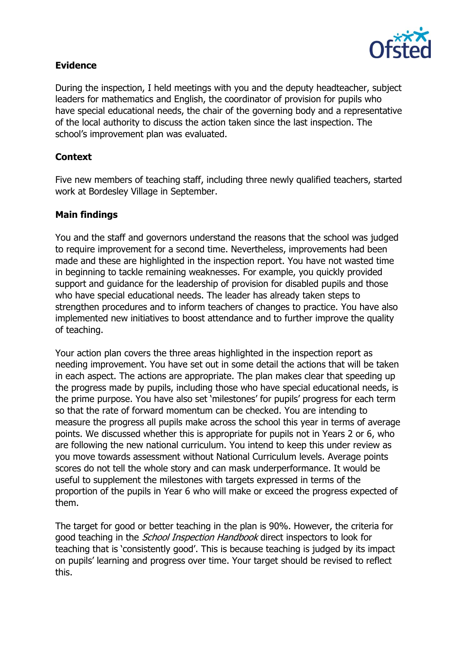

# **Evidence**

During the inspection, I held meetings with you and the deputy headteacher, subject leaders for mathematics and English, the coordinator of provision for pupils who have special educational needs, the chair of the governing body and a representative of the local authority to discuss the action taken since the last inspection. The school's improvement plan was evaluated.

# **Context**

Five new members of teaching staff, including three newly qualified teachers, started work at Bordesley Village in September.

# **Main findings**

You and the staff and governors understand the reasons that the school was judged to require improvement for a second time. Nevertheless, improvements had been made and these are highlighted in the inspection report. You have not wasted time in beginning to tackle remaining weaknesses. For example, you quickly provided support and guidance for the leadership of provision for disabled pupils and those who have special educational needs. The leader has already taken steps to strengthen procedures and to inform teachers of changes to practice. You have also implemented new initiatives to boost attendance and to further improve the quality of teaching.

Your action plan covers the three areas highlighted in the inspection report as needing improvement. You have set out in some detail the actions that will be taken in each aspect. The actions are appropriate. The plan makes clear that speeding up the progress made by pupils, including those who have special educational needs, is the prime purpose. You have also set 'milestones' for pupils' progress for each term so that the rate of forward momentum can be checked. You are intending to measure the progress all pupils make across the school this year in terms of average points. We discussed whether this is appropriate for pupils not in Years 2 or 6, who are following the new national curriculum. You intend to keep this under review as you move towards assessment without National Curriculum levels. Average points scores do not tell the whole story and can mask underperformance. It would be useful to supplement the milestones with targets expressed in terms of the proportion of the pupils in Year 6 who will make or exceed the progress expected of them.

The target for good or better teaching in the plan is 90%. However, the criteria for good teaching in the *School Inspection Handbook* direct inspectors to look for teaching that is 'consistently good'. This is because teaching is judged by its impact on pupils' learning and progress over time. Your target should be revised to reflect this.